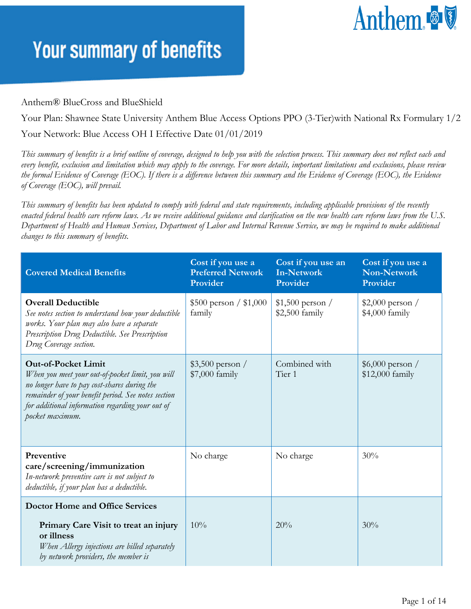# Anthem

#### **Your summary of benefits**

#### Anthem® BlueCross and BlueShield

Your Plan: Shawnee State University Anthem Blue Access Options PPO (3-Tier)with National Rx Formulary 1/2 Your Network: Blue Access OH I Effective Date 01/01/2019

*This summary of benefits is a brief outline of coverage, designed to help you with the selection process. This summary does not reflect each and every benefit, exclusion and limitation which may apply to the coverage. For more details, important limitations and exclusions, please review the formal Evidence of Coverage (EOC). If there is a difference between this summary and the Evidence of Coverage (EOC), the Evidence of Coverage (EOC), will prevail.* 

*This summary of benefits has been updated to comply with federal and state requirements, including applicable provisions of the recently enacted federal health care reform laws. As we receive additional guidance and clarification on the new health care reform laws from the U.S. Department of Health and Human Services, Department of Labor and Internal Revenue Service, we may be required to make additional changes to this summary of benefits.*

| <b>Covered Medical Benefits</b>                                                                                                                                                                                                                              | Cost if you use a<br><b>Preferred Network</b><br>Provider | Cost if you use an<br><b>In-Network</b><br>Provider | Cost if you use a<br><b>Non-Network</b><br>Provider |
|--------------------------------------------------------------------------------------------------------------------------------------------------------------------------------------------------------------------------------------------------------------|-----------------------------------------------------------|-----------------------------------------------------|-----------------------------------------------------|
| <b>Overall Deductible</b><br>See notes section to understand how your deductible<br>works. Your plan may also have a separate<br>Prescription Drug Deductible. See Prescription<br>Drug Coverage section.                                                    | $$500$ person / \$1,000<br>family                         | $$1,500$ person /<br>\$2,500 family                 | $$2,000$ person /<br>\$4,000 family                 |
| <b>Out-of-Pocket Limit</b><br>When you meet your out-of-pocket limit, you will<br>no longer have to pay cost-shares during the<br>remainder of your benefit period. See notes section<br>for additional information regarding your out of<br>pocket maximum. | $$3,500$ person /<br>$$7,000$ family                      | Combined with<br>Tier 1                             | $$6,000$ person /<br>\$12,000 family                |
| Preventive<br>care/screening/immunization<br>In-network preventive care is not subject to<br>deductible, if your plan has a deductible.                                                                                                                      | No charge                                                 | No charge                                           | 30%                                                 |
| <b>Doctor Home and Office Services</b>                                                                                                                                                                                                                       |                                                           |                                                     |                                                     |
| Primary Care Visit to treat an injury<br>or illness<br>When Allergy injections are billed separately<br>by network providers, the member is                                                                                                                  | $10\%$                                                    | 20%                                                 | 30%                                                 |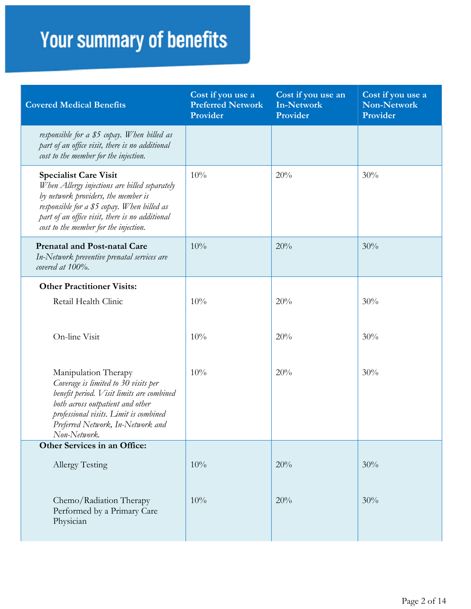| <b>Covered Medical Benefits</b>                                                                                                                                                                                                                                 | Cost if you use a<br><b>Preferred Network</b><br>Provider | Cost if you use an<br><b>In-Network</b><br>Provider | Cost if you use a<br><b>Non-Network</b><br>Provider |
|-----------------------------------------------------------------------------------------------------------------------------------------------------------------------------------------------------------------------------------------------------------------|-----------------------------------------------------------|-----------------------------------------------------|-----------------------------------------------------|
| responsible for a \$5 copay. When billed as<br>part of an office visit, there is no additional<br>cost to the member for the injection.                                                                                                                         |                                                           |                                                     |                                                     |
| <b>Specialist Care Visit</b><br>When Allergy injections are billed separately<br>by network providers, the member is<br>responsible for a \$5 copay. When billed as<br>part of an office visit, there is no additional<br>cost to the member for the injection. | 10%                                                       | 20%                                                 | 30%                                                 |
| <b>Prenatal and Post-natal Care</b><br>In-Network preventive prenatal services are<br>covered at 100%.                                                                                                                                                          | 10%                                                       | 20%                                                 | 30%                                                 |
| <b>Other Practitioner Visits:</b>                                                                                                                                                                                                                               |                                                           |                                                     |                                                     |
| Retail Health Clinic                                                                                                                                                                                                                                            | 10%                                                       | 20%                                                 | 30%                                                 |
| On-line Visit                                                                                                                                                                                                                                                   | 10%                                                       | 20%                                                 | 30%                                                 |
| Manipulation Therapy<br>Coverage is limited to 30 visits per<br>benefit period. Visit limits are combined<br>both across outpatient and other<br>professional visits. Limit is combined<br>Preferred Network, In-Network and<br>Non-Network.                    | 10%                                                       | 20%                                                 | 30%                                                 |
| Other Services in an Office:                                                                                                                                                                                                                                    |                                                           |                                                     |                                                     |
| Allergy Testing                                                                                                                                                                                                                                                 | 10%                                                       | 20%                                                 | 30%                                                 |
| Chemo/Radiation Therapy<br>Performed by a Primary Care<br>Physician                                                                                                                                                                                             | 10%                                                       | 20%                                                 | 30%                                                 |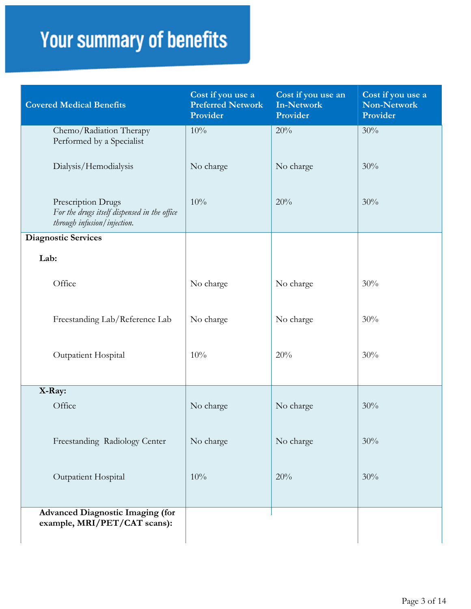| <b>Covered Medical Benefits</b>                                                                   | Cost if you use a<br><b>Preferred Network</b><br>Provider | Cost if you use an<br><b>In-Network</b><br>Provider | Cost if you use a<br>Non-Network<br>Provider |
|---------------------------------------------------------------------------------------------------|-----------------------------------------------------------|-----------------------------------------------------|----------------------------------------------|
| Chemo/Radiation Therapy<br>Performed by a Specialist                                              | 10%                                                       | 20%                                                 | 30%                                          |
| Dialysis/Hemodialysis                                                                             | No charge                                                 | No charge                                           | 30%                                          |
| Prescription Drugs<br>For the drugs itself dispensed in the office<br>through infusion/injection. | 10%                                                       | 20%                                                 | 30%                                          |
| <b>Diagnostic Services</b>                                                                        |                                                           |                                                     |                                              |
| Lab:                                                                                              |                                                           |                                                     |                                              |
| Office                                                                                            | No charge                                                 | No charge                                           | 30%                                          |
| Freestanding Lab/Reference Lab                                                                    | No charge                                                 | No charge                                           | 30%                                          |
| Outpatient Hospital                                                                               | 10%                                                       | 20%                                                 | 30%                                          |
| X-Ray:                                                                                            |                                                           |                                                     |                                              |
| Office                                                                                            | No charge                                                 | No charge                                           | 30%                                          |
| Freestanding Radiology Center                                                                     | No charge                                                 | No charge                                           | 30%                                          |
| Outpatient Hospital                                                                               | 10%                                                       | 20%                                                 | 30%                                          |
| <b>Advanced Diagnostic Imaging (for</b><br>example, MRI/PET/CAT scans):                           |                                                           |                                                     |                                              |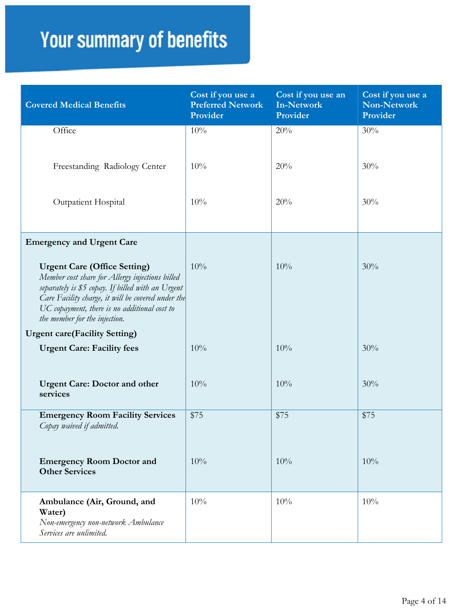| <b>Covered Medical Benefits</b>                                                                                                                                                                                                                                                    | Cost if you use a<br><b>Preferred Network</b><br>Provider | Cost if you use an<br><b>In-Network</b><br>Provider | Cost if you use a<br>Non-Network<br>Provider |
|------------------------------------------------------------------------------------------------------------------------------------------------------------------------------------------------------------------------------------------------------------------------------------|-----------------------------------------------------------|-----------------------------------------------------|----------------------------------------------|
| Office                                                                                                                                                                                                                                                                             | 10%                                                       | 20%                                                 | 30%                                          |
| Freestanding Radiology Center                                                                                                                                                                                                                                                      | 10%                                                       | 20%                                                 | 30%                                          |
| Outpatient Hospital                                                                                                                                                                                                                                                                | 10%                                                       | 20%                                                 | 30%                                          |
| <b>Emergency and Urgent Care</b>                                                                                                                                                                                                                                                   |                                                           |                                                     |                                              |
| <b>Urgent Care (Office Setting)</b><br>Member cost share for Allergy injections billed<br>separately is \$5 copay. If billed with an Urgent<br>Care Facility charge, it will be covered under the<br>UC copayment, there is no additional cost to<br>the member for the injection. | 10%                                                       | 10%                                                 | 30%                                          |
| <b>Urgent care(Facility Setting)</b>                                                                                                                                                                                                                                               |                                                           |                                                     |                                              |
| <b>Urgent Care: Facility fees</b>                                                                                                                                                                                                                                                  | 10%                                                       | 10%                                                 | 30%                                          |
| <b>Urgent Care: Doctor and other</b><br>services                                                                                                                                                                                                                                   | 10%                                                       | 10%                                                 | 30%                                          |
| <b>Emergency Room Facility Services</b><br>Copay waived if admitted.                                                                                                                                                                                                               | \$75                                                      | \$75                                                | \$75                                         |
| <b>Emergency Room Doctor and</b><br><b>Other Services</b>                                                                                                                                                                                                                          | 10%                                                       | 10%                                                 | 10%                                          |
| Ambulance (Air, Ground, and<br>Water)<br>Non-emergency non-network Ambulance<br>Services are unlimited.                                                                                                                                                                            | 10%                                                       | 10%                                                 | 10%                                          |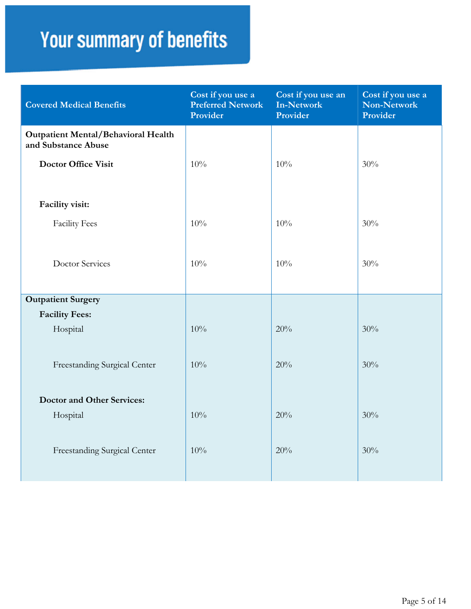| <b>Covered Medical Benefits</b>                                   | Cost if you use a<br><b>Preferred Network</b><br>Provider | Cost if you use an<br>In-Network<br>Provider | Cost if you use a<br>Non-Network<br>Provider |
|-------------------------------------------------------------------|-----------------------------------------------------------|----------------------------------------------|----------------------------------------------|
| <b>Outpatient Mental/Behavioral Health</b><br>and Substance Abuse |                                                           |                                              |                                              |
| <b>Doctor Office Visit</b>                                        | 10%                                                       | 10%                                          | 30%                                          |
| Facility visit:                                                   |                                                           |                                              |                                              |
| <b>Facility Fees</b>                                              | 10%                                                       | 10%                                          | 30%                                          |
| <b>Doctor Services</b>                                            | 10%                                                       | 10%                                          | 30%                                          |
| <b>Outpatient Surgery</b>                                         |                                                           |                                              |                                              |
| <b>Facility Fees:</b>                                             |                                                           |                                              |                                              |
| Hospital                                                          | 10%                                                       | 20%                                          | 30%                                          |
| Freestanding Surgical Center                                      | 10%                                                       | 20%                                          | 30%                                          |
| <b>Doctor and Other Services:</b>                                 |                                                           |                                              |                                              |
| Hospital                                                          | 10%                                                       | 20%                                          | 30%                                          |
| Freestanding Surgical Center                                      | 10%                                                       | 20%                                          | 30%                                          |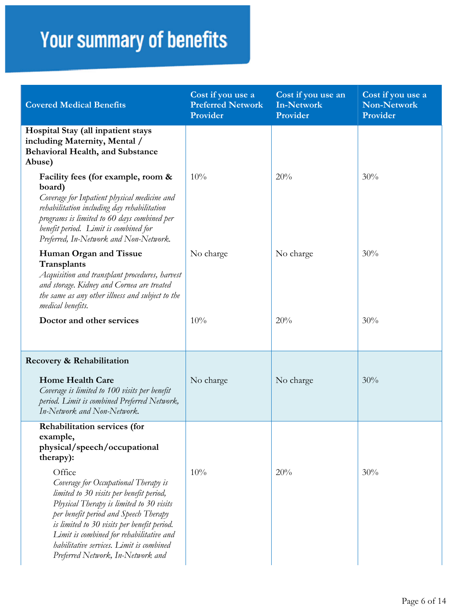| <b>Covered Medical Benefits</b>                                                                                                                                                                                                                                                                                                                             | Cost if you use a<br><b>Preferred Network</b><br>Provider | Cost if you use an<br><b>In-Network</b><br>Provider | Cost if you use a<br><b>Non-Network</b><br>Provider |
|-------------------------------------------------------------------------------------------------------------------------------------------------------------------------------------------------------------------------------------------------------------------------------------------------------------------------------------------------------------|-----------------------------------------------------------|-----------------------------------------------------|-----------------------------------------------------|
| Hospital Stay (all inpatient stays<br>including Maternity, Mental /<br><b>Behavioral Health, and Substance</b><br>Abuse)                                                                                                                                                                                                                                    |                                                           |                                                     |                                                     |
| Facility fees (for example, room &<br>board)<br>Coverage for Inpatient physical medicine and<br>rehabilitation including day rehabilitation<br>programs is limited to 60 days combined per<br>benefit period. Limit is combined for<br>Preferred, In-Network and Non-Network.                                                                               | 10%                                                       | 20%                                                 | 30%                                                 |
| Human Organ and Tissue<br>Transplants<br>Acquisition and transplant procedures, harvest<br>and storage. Kidney and Cornea are treated<br>the same as any other illness and subject to the<br>medical benefits.                                                                                                                                              | No charge                                                 | No charge                                           | 30%                                                 |
| Doctor and other services                                                                                                                                                                                                                                                                                                                                   | 10%                                                       | 20%                                                 | 30%                                                 |
| Recovery & Rehabilitation                                                                                                                                                                                                                                                                                                                                   |                                                           |                                                     |                                                     |
| <b>Home Health Care</b><br>Coverage is limited to 100 visits per benefit<br>period. Limit is combined Preferred Network,<br>In-Network and Non-Network.                                                                                                                                                                                                     | No charge                                                 | No charge                                           | 30%                                                 |
| Rehabilitation services (for<br>example,<br>physical/speech/occupational<br>therapy):                                                                                                                                                                                                                                                                       |                                                           |                                                     |                                                     |
| Office<br>Coverage for Occupational Therapy is<br>limited to 30 visits per benefit period,<br>Physical Therapy is limited to 30 visits<br>per benefit period and Speech Therapy<br>is limited to 30 visits per benefit period.<br>Limit is combined for rehabilitative and<br>habilitative services. Limit is combined<br>Preferred Network, In-Network and | 10%                                                       | 20%                                                 | 30%                                                 |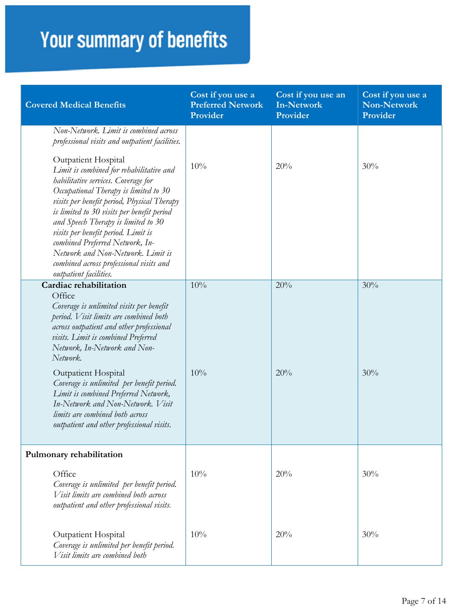| <b>Covered Medical Benefits</b>                                                                                                                                                                                                                                                                                                                                                                                                                                         | Cost if you use a<br><b>Preferred Network</b><br>Provider | Cost if you use an<br><b>In-Network</b><br>Provider | Cost if you use a<br><b>Non-Network</b><br>Provider |
|-------------------------------------------------------------------------------------------------------------------------------------------------------------------------------------------------------------------------------------------------------------------------------------------------------------------------------------------------------------------------------------------------------------------------------------------------------------------------|-----------------------------------------------------------|-----------------------------------------------------|-----------------------------------------------------|
| Non-Network. Limit is combined across<br>professional visits and outpatient facilities.                                                                                                                                                                                                                                                                                                                                                                                 |                                                           |                                                     |                                                     |
| Outpatient Hospital<br>Limit is combined for rehabilitative and<br>habilitative services. Coverage for<br>Occupational Therapy is limited to 30<br>visits per benefit period, Physical Therapy<br>is limited to 30 visits per benefit period<br>and Speech Therapy is limited to 30<br>visits per benefit period. Limit is<br>combined Preferred Network, In-<br>Network and Non-Network. Limit is<br>combined across professional visits and<br>outpatient facilities. | 10%                                                       | 20%                                                 | 30%                                                 |
| Cardiac rehabilitation<br>Office<br>Coverage is unlimited visits per benefit<br>period. Visit limits are combined both<br>across outpatient and other professional<br>visits. Limit is combined Preferred<br>Network, In-Network and Non-<br>Network.                                                                                                                                                                                                                   | 10%                                                       | 20%                                                 | 30%                                                 |
| <b>Outpatient Hospital</b><br>Coverage is unlimited per benefit period.<br>Limit is combined Preferred Network,<br>In-Network and Non-Network. Visit<br>limits are combined both across<br>outpatient and other professional visits.                                                                                                                                                                                                                                    | 10%                                                       | 20%                                                 | 30%                                                 |
| Pulmonary rehabilitation                                                                                                                                                                                                                                                                                                                                                                                                                                                |                                                           |                                                     |                                                     |
| Office<br>Coverage is unlimited per benefit period.<br>Visit limits are combined both across<br>outpatient and other professional visits.                                                                                                                                                                                                                                                                                                                               | 10%                                                       | 20%                                                 | 30%                                                 |
| Outpatient Hospital<br>Coverage is unlimited per benefit period.<br>Visit limits are combined both                                                                                                                                                                                                                                                                                                                                                                      | 10%                                                       | 20%                                                 | 30%                                                 |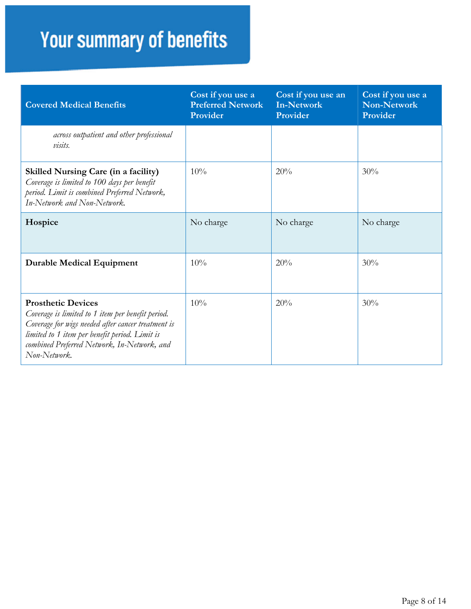| <b>Covered Medical Benefits</b>                                                                                                                                                                                                                       | Cost if you use a<br><b>Preferred Network</b><br>Provider | Cost if you use an<br>In-Network<br>Provider | Cost if you use a<br><b>Non-Network</b><br>Provider |
|-------------------------------------------------------------------------------------------------------------------------------------------------------------------------------------------------------------------------------------------------------|-----------------------------------------------------------|----------------------------------------------|-----------------------------------------------------|
| across outpatient and other professional<br>visits.                                                                                                                                                                                                   |                                                           |                                              |                                                     |
| <b>Skilled Nursing Care (in a facility)</b><br>Coverage is limited to 100 days per benefit<br>period. Limit is combined Preferred Network,<br>In-Network and Non-Network.                                                                             | 10%                                                       | 20%                                          | 30%                                                 |
| Hospice                                                                                                                                                                                                                                               | No charge                                                 | No charge                                    | No charge                                           |
| <b>Durable Medical Equipment</b>                                                                                                                                                                                                                      | 10%                                                       | 20%                                          | 30%                                                 |
| <b>Prosthetic Devices</b><br>Coverage is limited to 1 item per benefit period.<br>Coverage for wigs needed after cancer treatment is<br>limited to 1 item per benefit period. Limit is<br>combined Preferred Network, In-Network, and<br>Non-Network. | 10%                                                       | 20%                                          | 30%                                                 |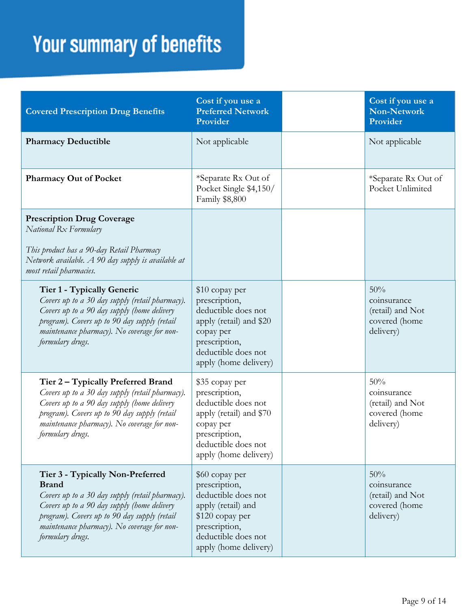| <b>Covered Prescription Drug Benefits</b>                                                                                                                                                                                                                             | Cost if you use a<br><b>Preferred Network</b><br>Provider                                                                                                        | Cost if you use a<br><b>Non-Network</b><br>Provider                  |
|-----------------------------------------------------------------------------------------------------------------------------------------------------------------------------------------------------------------------------------------------------------------------|------------------------------------------------------------------------------------------------------------------------------------------------------------------|----------------------------------------------------------------------|
| <b>Pharmacy Deductible</b>                                                                                                                                                                                                                                            | Not applicable                                                                                                                                                   | Not applicable                                                       |
| <b>Pharmacy Out of Pocket</b>                                                                                                                                                                                                                                         | *Separate Rx Out of<br>Pocket Single \$4,150/<br>Family \$8,800                                                                                                  | *Separate Rx Out of<br>Pocket Unlimited                              |
| <b>Prescription Drug Coverage</b><br>National Rx Formulary<br>This product has a 90-day Retail Pharmacy<br>Network available. A 90 day supply is available at<br>most retail pharmacies.                                                                              |                                                                                                                                                                  |                                                                      |
| Tier 1 - Typically Generic<br>Covers up to a 30 day supply (retail pharmacy).<br>Covers up to a 90 day supply (home delivery<br>program). Covers up to 90 day supply (retail<br>maintenance pharmacy). No coverage for non-<br>formulary drugs.                       | \$10 copay per<br>prescription,<br>deductible does not<br>apply (retail) and \$20<br>copay per<br>prescription,<br>deductible does not<br>apply (home delivery)  | 50%<br>coinsurance<br>(retail) and Not<br>covered (home<br>delivery) |
| Tier 2 – Typically Preferred Brand<br>Covers up to a 30 day supply (retail pharmacy).<br>Covers up to a 90 day supply (home delivery<br>program). Covers up to 90 day supply (retail<br>maintenance pharmacy). No coverage for non-<br>formulary drugs.               | \$35 copay per<br>prescription,<br>deductible does not<br>apply (retail) and \$70<br>copay per<br>prescription,<br>deductible does not<br>apply (home delivery)  | 50%<br>coinsurance<br>(retail) and Not<br>covered (home<br>delivery) |
| Tier 3 - Typically Non-Preferred<br><b>Brand</b><br>Covers up to a 30 day supply (retail pharmacy).<br>Covers up to a 90 day supply (home delivery<br>program). Covers up to 90 day supply (retail<br>maintenance pharmacy). No coverage for non-<br>formulary drugs. | \$60 copay per<br>prescription,<br>deductible does not<br>apply (retail) and<br>\$120 copay per<br>prescription,<br>deductible does not<br>apply (home delivery) | 50%<br>coinsurance<br>(retail) and Not<br>covered (home<br>delivery) |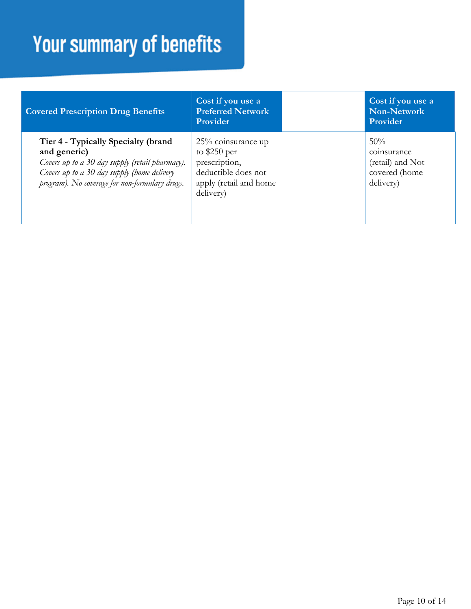| <b>Covered Prescription Drug Benefits</b>                                                                                                                                                               | Cost if you use a<br><b>Preferred Network</b><br><b>Provider</b>                                                   | Cost if you use a<br>Non-Network<br>Provider                         |
|---------------------------------------------------------------------------------------------------------------------------------------------------------------------------------------------------------|--------------------------------------------------------------------------------------------------------------------|----------------------------------------------------------------------|
| Tier 4 - Typically Specialty (brand<br>and generic)<br>Covers up to a 30 day supply (retail pharmacy).<br>Covers up to a 30 day supply (home delivery<br>program). No coverage for non-formulary drugs. | 25% coinsurance up<br>to $$250$ per<br>prescription,<br>deductible does not<br>apply (retail and home<br>delivery) | 50%<br>coinsurance<br>(retail) and Not<br>covered (home<br>delivery) |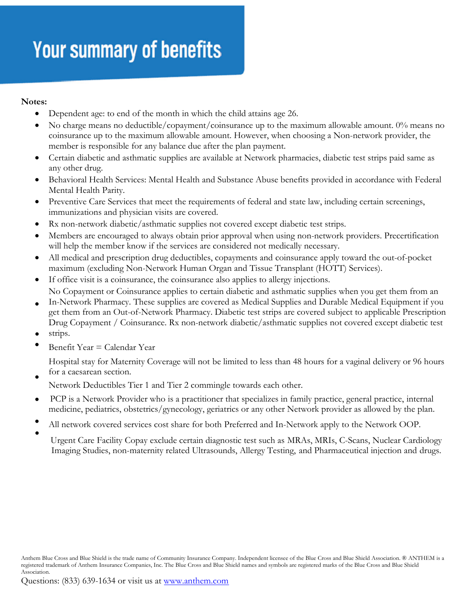#### **Notes:**

- Dependent age: to end of the month in which the child attains age 26.
- No charge means no deductible/copayment/coinsurance up to the maximum allowable amount. 0% means no coinsurance up to the maximum allowable amount. However, when choosing a Non-network provider, the member is responsible for any balance due after the plan payment.
- Certain diabetic and asthmatic supplies are available at Network pharmacies, diabetic test strips paid same as any other drug.
- Behavioral Health Services: Mental Health and Substance Abuse benefits provided in accordance with Federal Mental Health Parity.
- Preventive Care Services that meet the requirements of federal and state law, including certain screenings, immunizations and physician visits are covered.
- Rx non-network diabetic/asthmatic supplies not covered except diabetic test strips.
- Members are encouraged to always obtain prior approval when using non-network providers. Precertification will help the member know if the services are considered not medically necessary.
- All medical and prescription drug deductibles, copayments and coinsurance apply toward the out-of-pocket maximum (excluding Non-Network Human Organ and Tissue Transplant (HOTT) Services).
- If office visit is a coinsurance, the coinsurance also applies to allergy injections. No Copayment or Coinsurance applies to certain diabetic and asthmatic supplies when you get them from an
- In-Network Pharmacy. These supplies are covered as Medical Supplies and Durable Medical Equipment if you get them from an Out-of-Network Pharmacy. Diabetic test strips are covered subject to applicable Prescription Drug Copayment / Coinsurance. Rx non-network diabetic/asthmatic supplies not covered except diabetic test
- strips. •
- $\bullet$ Benefit Year = Calendar Year

Hospital stay for Maternity Coverage will not be limited to less than 48 hours for a vaginal delivery or 96 hours for a caesarean section.

 $\bullet$ Network Deductibles Tier 1 and Tier 2 commingle towards each other.

- $\bullet$ PCP is a Network Provider who is a practitioner that specializes in family practice, general practice, internal medicine, pediatrics, obstetrics/gynecology, geriatrics or any other Network provider as allowed by the plan.
- $\bullet$ All network covered services cost share for both Preferred and In-Network apply to the Network OOP.
- Urgent Care Facility Copay exclude certain diagnostic test such as MRAs, MRIs, C-Scans, Nuclear Cardiology Imaging Studies, non-maternity related Ultrasounds, Allergy Testing, and Pharmaceutical injection and drugs.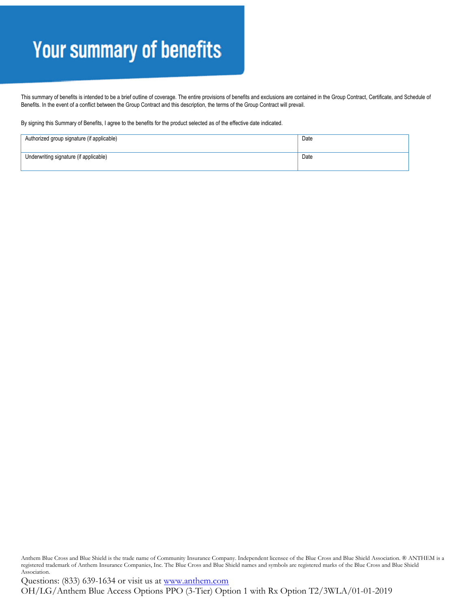This summary of benefits is intended to be a brief outline of coverage. The entire provisions of benefits and exclusions are contained in the Group Contract, Certificate, and Schedule of Benefits. In the event of a conflict between the Group Contract and this description, the terms of the Group Contract will prevail.

By signing this Summary of Benefits, I agree to the benefits for the product selected as of the effective date indicated.

| Authorized group signature (if applicable) | Date |
|--------------------------------------------|------|
| Underwriting signature (if applicable)     | Date |

Anthem Blue Cross and Blue Shield is the trade name of Community Insurance Company. Independent licensee of the Blue Cross and Blue Shield Association. ® ANTHEM is a registered trademark of Anthem Insurance Companies, Inc. The Blue Cross and Blue Shield names and symbols are registered marks of the Blue Cross and Blue Shield Association.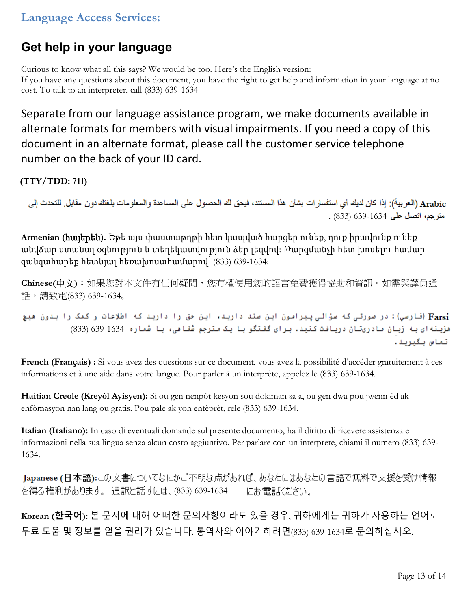#### **Language Access Services:**

#### **Get help in your language**

Curious to know what all this says? We would be too. Here's the English version: If you have any questions about this document, you have the right to get help and information in your language at no cost. To talk to an interpreter, call (833) 639-1634

Separate from our language assistance program, we make documents available in alternate formats for members with visual impairments. If you need a copy of this document in an alternate format, please call the customer service telephone number on the back of your ID card.

**(TTY/TDD: 711)**

Arabic (العربية): إذا كان لديك أي استفسارات بشأن هذا المستند، فيحق لك الحصول على المساعدة والمعلومات بلغتك دون مقابل. للتحدث إلى . (833) 639-1634

**Armenian (հայերեն).** Եթե այս փաստաթղթի հետ կապված հարցեր ունեք, դուք իրավունք ունեք անվճար ստանալ օգնություն և տեղեկատվություն ձեր լեզվով: Թարգմանչի հետ խոսելու համար զանգահարեք հետևյալ հեռախոսահամարով՝ (833) 639-1634:

**Chinese(中文):**如果您對本文件有任何疑問,您有權使用您的語言免費獲得協助和資訊。如需與譯員通 話,請致電(833) 639-1634。

Farsi) (فارسي): در صورتی که سؤالی پیرامون این سند دارید، این حق را دارید که اطلاعات و کمک را بدون هیچ هزينه اي به زبان مادريتان دريافت كنيد. براي گفتگو با يک مترجم شُفاهي، با شُماره 634-639) (833) تماس بگيريد.

**French (Français) :** Si vous avez des questions sur ce document, vous avez la possibilité d'accéder gratuitement à ces informations et à une aide dans votre langue. Pour parler à un interprète, appelez le (833) 639-1634.

**Haitian Creole (Kreyòl Ayisyen):** Si ou gen nenpòt kesyon sou dokiman sa a, ou gen dwa pou jwenn èd ak enfòmasyon nan lang ou gratis. Pou pale ak yon entèprèt, rele (833) 639-1634.

**Italian (Italiano):** In caso di eventuali domande sul presente documento, ha il diritto di ricevere assistenza e informazioni nella sua lingua senza alcun costo aggiuntivo. Per parlare con un interprete, chiami il numero (833) 639- 1634.

Japanese (日本語):この文書についてなにかご不明な点があれば、あなたにはあなたの言語で無料で支援を受け情報 を得る権利があります。 通訳と話すには、(833) 639-1634 にお電話ください。

**Korean (한국어):** 본 문서에 대해 어떠한 문의사항이라도 있을 경우, 귀하에게는 귀하가 사용하는 언어로 무료 도움 및 정보를 얻을 권리가 있습니다. 통역사와 이야기하려면(833) 639-1634로 문의하십시오.